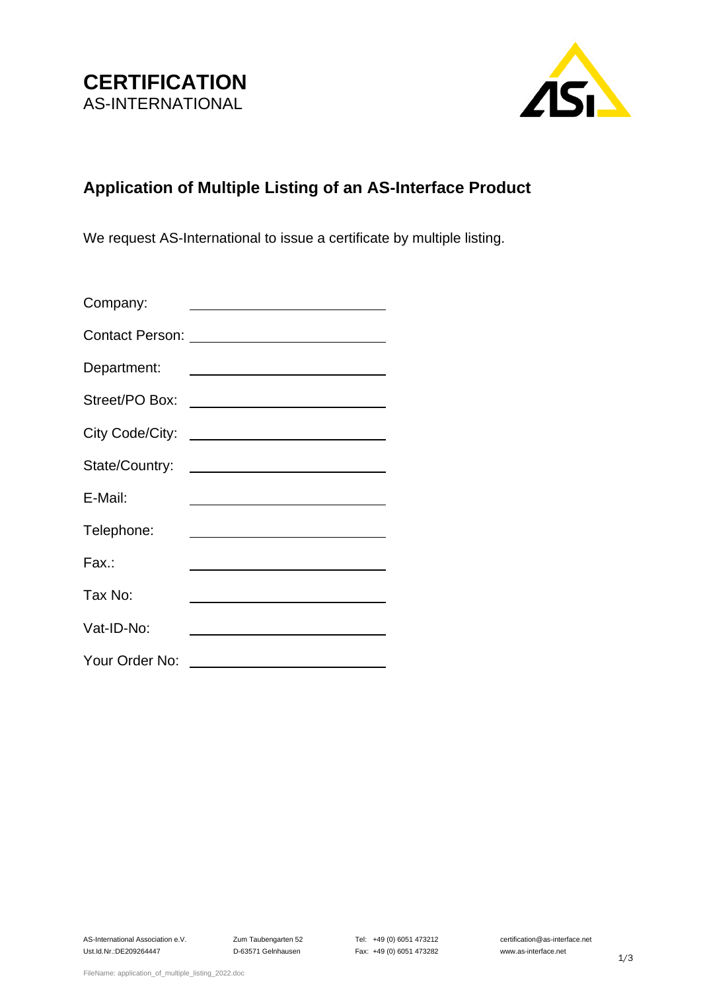

## **Application of Multiple Listing of an AS-Interface Product**

We request AS-International to issue a certificate by multiple listing.

| Company:        | <u> 1980 - Johann Barn, amerikansk politiker (</u>                                                                    |
|-----------------|-----------------------------------------------------------------------------------------------------------------------|
|                 |                                                                                                                       |
| Department:     | <u> 1980 - Andrea Andrew Maria (h. 1980).</u>                                                                         |
|                 |                                                                                                                       |
| City Code/City: | <u> 1989 - John Stein, Amerikaansk politiker (</u>                                                                    |
|                 |                                                                                                                       |
| E-Mail:         |                                                                                                                       |
| Telephone:      | <u> 1989 - Johann Harry Harry Harry Harry Harry Harry Harry Harry Harry Harry Harry Harry Harry Harry Harry Harry</u> |
| Fax.:           |                                                                                                                       |
| Tax No:         |                                                                                                                       |
| Vat-ID-No:      |                                                                                                                       |
| Your Order No:  |                                                                                                                       |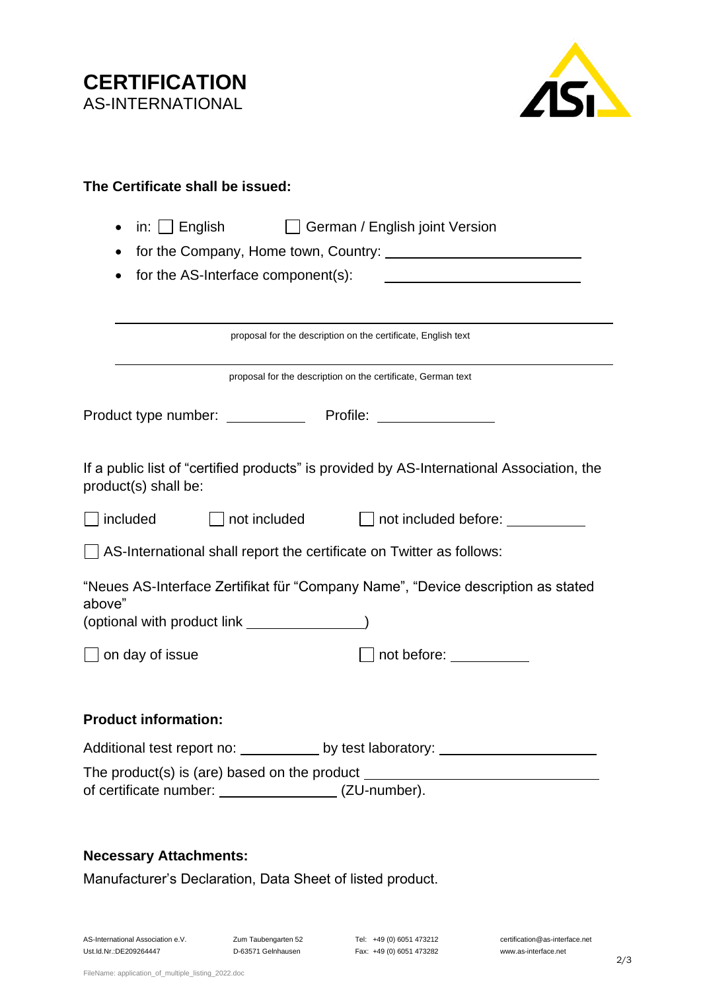**CERTIFICATION** AS-INTERNATIONAL



| The Certificate shall be issued:                                                                                                            |  |  |  |  |
|---------------------------------------------------------------------------------------------------------------------------------------------|--|--|--|--|
| in: $\Box$ English<br>German / English joint Version<br>$\mathbf{1}$<br>for the AS-Interface component(s):                                  |  |  |  |  |
| proposal for the description on the certificate, English text                                                                               |  |  |  |  |
| proposal for the description on the certificate, German text                                                                                |  |  |  |  |
| Product type number: Profile: Profile:                                                                                                      |  |  |  |  |
| If a public list of "certified products" is provided by AS-International Association, the<br>product(s) shall be:                           |  |  |  |  |
| included<br>$\Box$ not included<br>$\Box$ not included before: $\Box$                                                                       |  |  |  |  |
| $\Box$ AS-International shall report the certificate on Twitter as follows:                                                                 |  |  |  |  |
| "Neues AS-Interface Zertifikat für "Company Name", "Device description as stated<br>above"<br>(optional with product link ________________) |  |  |  |  |
| $\Box$ on day of issue<br>not before: <u>______</u>                                                                                         |  |  |  |  |
| <b>Product information:</b>                                                                                                                 |  |  |  |  |
| Additional test report no: _____________ by test laboratory: ___________________                                                            |  |  |  |  |
| The product(s) is (are) based on the product ___________________________________<br>of certificate number: __________________(ZU-number).   |  |  |  |  |

## **Necessary Attachments:**

Manufacturer's Declaration, Data Sheet of listed product.

Ust.Id.Nr.:DE209264447 D-63571 Gelnhausen Fax: +49 (0) 6051 473282 www.as-interface.net

AS-International Association e.V. Zum Taubengarten 52 Tel: +49 (0) 6051 473212 certification@as-interface.net